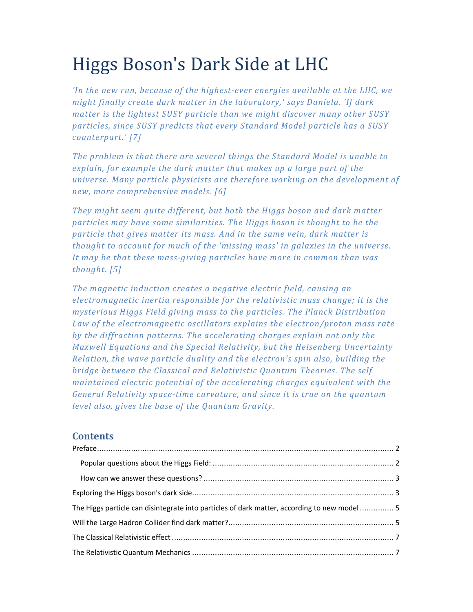# Higgs Boson's Dark Side at LHC

*'In the new run, because of the highest-ever energies available at the LHC, we might finally create dark matter in the laboratory,' says Daniela. 'If dark matter is the lightest SUSY particle than we might discover many other SUSY particles, since SUSY predicts that every Standard Model particle has a SUSY counterpart.' [7]* 

*The problem is that there are several things the Standard Model is unable to explain, for example the dark matter that makes up a large part of the universe. Many particle physicists are therefore working on the development of new, more comprehensive models. [6]* 

*They might seem quite different, but both the Higgs boson and dark matter particles may have some similarities. The Higgs boson is thought to be the particle that gives matter its mass. And in the same vein, dark matter is thought to account for much of the 'missing mass' in galaxies in the universe. It may be that these mass-giving particles have more in common than was thought. [5]* 

*The magnetic induction creates a negative electric field, causing an electromagnetic inertia responsible for the relativistic mass change; it is the mysterious Higgs Field giving mass to the particles. The Planck Distribution Law of the electromagnetic oscillators explains the electron/proton mass rate by the diffraction patterns. The accelerating charges explain not only the Maxwell Equations and the Special Relativity, but the Heisenberg Uncertainty Relation, the wave particle duality and the electron's spin also, building the bridge between the Classical and Relativistic Quantum Theories. The self maintained electric potential of the accelerating charges equivalent with the General Relativity space-time curvature, and since it is true on the quantum level also, gives the base of the Quantum Gravity.* 

# **Contents**

| The Higgs particle can disintegrate into particles of dark matter, according to new model  5 |  |
|----------------------------------------------------------------------------------------------|--|
|                                                                                              |  |
|                                                                                              |  |
|                                                                                              |  |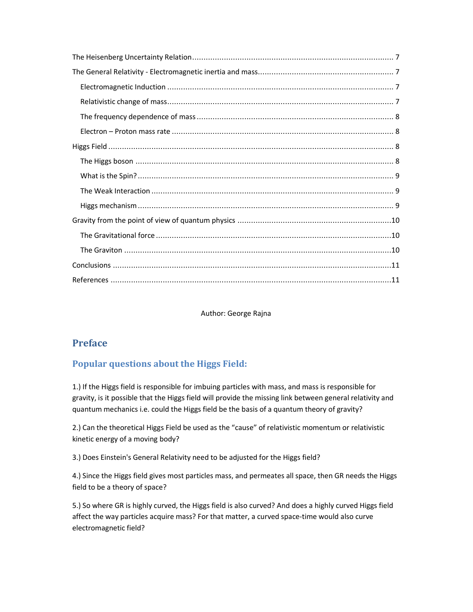Author: George Rajna

# **Preface**

# **Popular questions about the Higgs Field:**

1.) If the Higgs field is responsible for imbuing particles with mass, and mass is responsible for gravity, is it possible that the Higgs field will provide the missing link between general relativity and quantum mechanics i.e. could the Higgs field be the basis of a quantum theory of gravity?

2.) Can the theoretical Higgs Field be used as the "cause" of relativistic momentum or relativistic kinetic energy of a moving body?

3.) Does Einstein's General Relativity need to be adjusted for the Higgs field?

4.) Since the Higgs field gives most particles mass, and permeates all space, then GR needs the Higgs field to be a theory of space?

5.) So where GR is highly curved, the Higgs field is also curved? And does a highly curved Higgs field affect the way particles acquire mass? For that matter, a curved space-time would also curve electromagnetic field?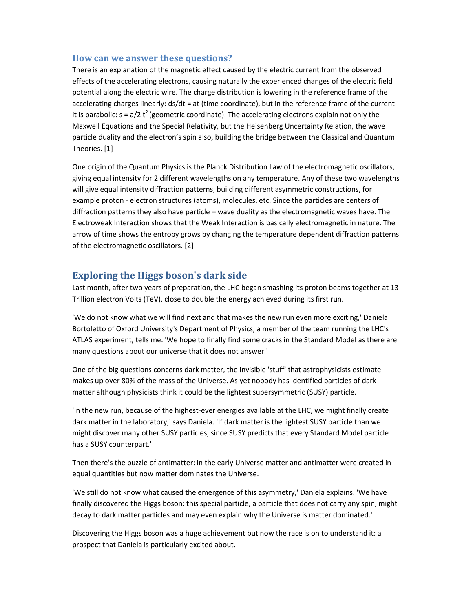#### **How can we answer these questions?**

There is an explanation of the magnetic effect caused by the electric current from the observed effects of the accelerating electrons, causing naturally the experienced changes of the electric field potential along the electric wire. The charge distribution is lowering in the reference frame of the accelerating charges linearly: ds/dt = at (time coordinate), but in the reference frame of the current it is parabolic:  $s = a/2 t^2$  (geometric coordinate). The accelerating electrons explain not only the Maxwell Equations and the Special Relativity, but the Heisenberg Uncertainty Relation, the wave particle duality and the electron's spin also, building the bridge between the Classical and Quantum Theories. [1]

One origin of the Quantum Physics is the Planck Distribution Law of the electromagnetic oscillators, giving equal intensity for 2 different wavelengths on any temperature. Any of these two wavelengths will give equal intensity diffraction patterns, building different asymmetric constructions, for example proton - electron structures (atoms), molecules, etc. Since the particles are centers of diffraction patterns they also have particle – wave duality as the electromagnetic waves have. The Electroweak Interaction shows that the Weak Interaction is basically electromagnetic in nature. The arrow of time shows the entropy grows by changing the temperature dependent diffraction patterns of the electromagnetic oscillators. [2]

# **Exploring the Higgs boson's dark side**

Last month, after two years of preparation, the LHC began smashing its proton beams together at 13 Trillion electron Volts (TeV), close to double the energy achieved during its first run.

'We do not know what we will find next and that makes the new run even more exciting,' Daniela Bortoletto of Oxford University's Department of Physics, a member of the team running the LHC's ATLAS experiment, tells me. 'We hope to finally find some cracks in the Standard Model as there are many questions about our universe that it does not answer.'

One of the big questions concerns dark matter, the invisible 'stuff' that astrophysicists estimate makes up over 80% of the mass of the Universe. As yet nobody has identified particles of dark matter although physicists think it could be the lightest supersymmetric (SUSY) particle.

'In the new run, because of the highest-ever energies available at the LHC, we might finally create dark matter in the laboratory,' says Daniela. 'If dark matter is the lightest SUSY particle than we might discover many other SUSY particles, since SUSY predicts that every Standard Model particle has a SUSY counterpart.'

Then there's the puzzle of antimatter: in the early Universe matter and antimatter were created in equal quantities but now matter dominates the Universe.

'We still do not know what caused the emergence of this asymmetry,' Daniela explains. 'We have finally discovered the Higgs boson: this special particle, a particle that does not carry any spin, might decay to dark matter particles and may even explain why the Universe is matter dominated.'

Discovering the Higgs boson was a huge achievement but now the race is on to understand it: a prospect that Daniela is particularly excited about.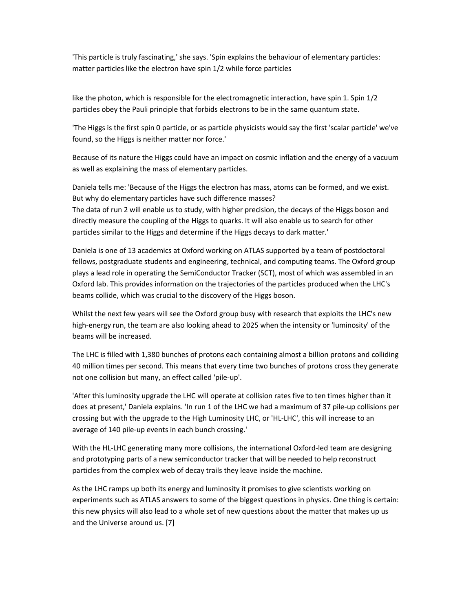'This particle is truly fascinating,' she says. 'Spin explains the behaviour of elementary particles: matter particles like the electron have spin 1/2 while force particles

like the photon, which is responsible for the electromagnetic interaction, have spin 1. Spin 1/2 particles obey the Pauli principle that forbids electrons to be in the same quantum state.

'The Higgs is the first spin 0 particle, or as particle physicists would say the first 'scalar particle' we've found, so the Higgs is neither matter nor force.'

Because of its nature the Higgs could have an impact on cosmic inflation and the energy of a vacuum as well as explaining the mass of elementary particles.

Daniela tells me: 'Because of the Higgs the electron has mass, atoms can be formed, and we exist. But why do elementary particles have such difference masses?

The data of run 2 will enable us to study, with higher precision, the decays of the Higgs boson and directly measure the coupling of the Higgs to quarks. It will also enable us to search for other particles similar to the Higgs and determine if the Higgs decays to dark matter.'

Daniela is one of 13 academics at Oxford working on ATLAS supported by a team of postdoctoral fellows, postgraduate students and engineering, technical, and computing teams. The Oxford group plays a lead role in operating the SemiConductor Tracker (SCT), most of which was assembled in an Oxford lab. This provides information on the trajectories of the particles produced when the LHC's beams collide, which was crucial to the discovery of the Higgs boson.

Whilst the next few years will see the Oxford group busy with research that exploits the LHC's new high-energy run, the team are also looking ahead to 2025 when the intensity or 'luminosity' of the beams will be increased.

The LHC is filled with 1,380 bunches of protons each containing almost a billion protons and colliding 40 million times per second. This means that every time two bunches of protons cross they generate not one collision but many, an effect called 'pile-up'.

'After this luminosity upgrade the LHC will operate at collision rates five to ten times higher than it does at present,' Daniela explains. 'In run 1 of the LHC we had a maximum of 37 pile-up collisions per crossing but with the upgrade to the High Luminosity LHC, or 'HL-LHC', this will increase to an average of 140 pile-up events in each bunch crossing.'

With the HL-LHC generating many more collisions, the international Oxford-led team are designing and prototyping parts of a new semiconductor tracker that will be needed to help reconstruct particles from the complex web of decay trails they leave inside the machine.

As the LHC ramps up both its energy and luminosity it promises to give scientists working on experiments such as ATLAS answers to some of the biggest questions in physics. One thing is certain: this new physics will also lead to a whole set of new questions about the matter that makes up us and the Universe around us. [7]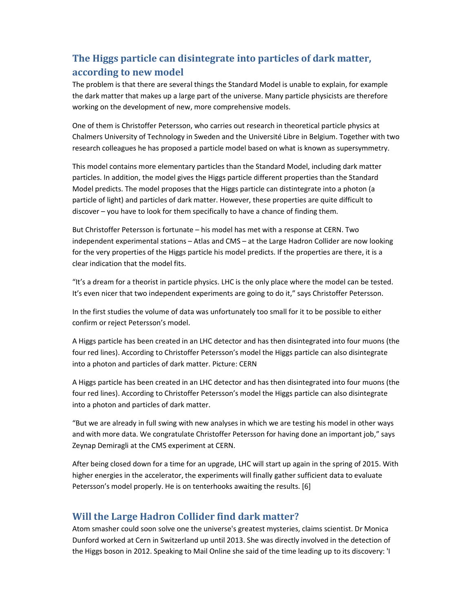# **The Higgs particle can disintegrate into particles of dark matter, according to new model**

The problem is that there are several things the Standard Model is unable to explain, for example the dark matter that makes up a large part of the universe. Many particle physicists are therefore working on the development of new, more comprehensive models.

One of them is Christoffer Petersson, who carries out research in theoretical particle physics at Chalmers University of Technology in Sweden and the Université Libre in Belgium. Together with two research colleagues he has proposed a particle model based on what is known as supersymmetry.

This model contains more elementary particles than the Standard Model, including dark matter particles. In addition, the model gives the Higgs particle different properties than the Standard Model predicts. The model proposes that the Higgs particle can distintegrate into a photon (a particle of light) and particles of dark matter. However, these properties are quite difficult to discover – you have to look for them specifically to have a chance of finding them.

But Christoffer Petersson is fortunate – his model has met with a response at CERN. Two independent experimental stations – Atlas and CMS – at the Large Hadron Collider are now looking for the very properties of the Higgs particle his model predicts. If the properties are there, it is a clear indication that the model fits.

"It's a dream for a theorist in particle physics. LHC is the only place where the model can be tested. It's even nicer that two independent experiments are going to do it," says Christoffer Petersson.

In the first studies the volume of data was unfortunately too small for it to be possible to either confirm or reject Petersson's model.

A Higgs particle has been created in an LHC detector and has then disintegrated into four muons (the four red lines). According to Christoffer Petersson's model the Higgs particle can also disintegrate into a photon and particles of dark matter. Picture: CERN

A Higgs particle has been created in an LHC detector and has then disintegrated into four muons (the four red lines). According to Christoffer Petersson's model the Higgs particle can also disintegrate into a photon and particles of dark matter.

"But we are already in full swing with new analyses in which we are testing his model in other ways and with more data. We congratulate Christoffer Petersson for having done an important job," says Zeynap Demiragli at the CMS experiment at CERN.

After being closed down for a time for an upgrade, LHC will start up again in the spring of 2015. With higher energies in the accelerator, the experiments will finally gather sufficient data to evaluate Petersson's model properly. He is on tenterhooks awaiting the results. [6]

# **Will the Large Hadron Collider find dark matter?**

Atom smasher could soon solve one the universe's greatest mysteries, claims scientist. Dr Monica Dunford worked at Cern in Switzerland up until 2013. She was directly involved in the detection of the Higgs boson in 2012. Speaking to Mail Online she said of the time leading up to its discovery: 'I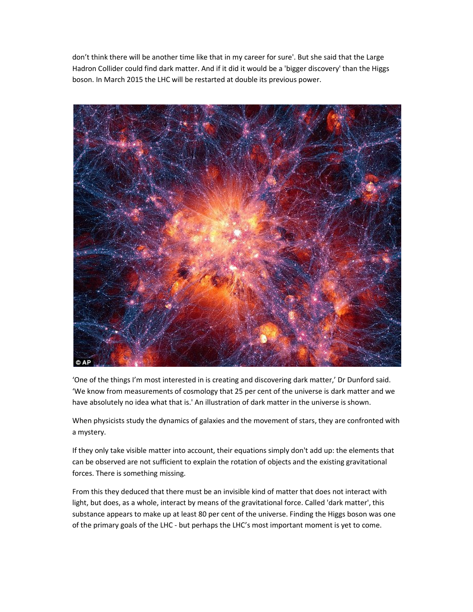don't think there will be another time like that in my career for sure'. But she said that the Large Hadron Collider could find dark matter. And if it did it would be a 'bigger discovery' than the Higgs boson. In March 2015 the LHC will be restarted at double its previous power.



'One of the things I'm most interested in is creating and discovering dark matter,' Dr Dunford said. 'We know from measurements of cosmology that 25 per cent of the universe is dark matter and we have absolutely no idea what that is.' An illustration of dark matter in the universe is shown.

When physicists study the dynamics of galaxies and the movement of stars, they are confronted with a mystery.

If they only take visible matter into account, their equations simply don't add up: the elements that can be observed are not sufficient to explain the rotation of objects and the existing gravitational forces. There is something missing.

From this they deduced that there must be an invisible kind of matter that does not interact with light, but does, as a whole, interact by means of the gravitational force. Called 'dark matter', this substance appears to make up at least 80 per cent of the universe. Finding the Higgs boson was one of the primary goals of the LHC - but perhaps the LHC's most important moment is yet to come.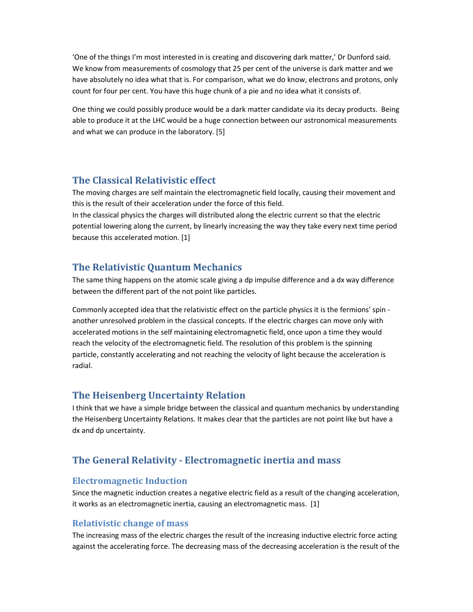'One of the things I'm most interested in is creating and discovering dark matter,' Dr Dunford said. We know from measurements of cosmology that 25 per cent of the universe is dark matter and we have absolutely no idea what that is. For comparison, what we do know, electrons and protons, only count for four per cent. You have this huge chunk of a pie and no idea what it consists of.

One thing we could possibly produce would be a dark matter candidate via its decay products. Being able to produce it at the LHC would be a huge connection between our astronomical measurements and what we can produce in the laboratory. [5]

# **The Classical Relativistic effect**

The moving charges are self maintain the electromagnetic field locally, causing their movement and this is the result of their acceleration under the force of this field.

In the classical physics the charges will distributed along the electric current so that the electric potential lowering along the current, by linearly increasing the way they take every next time period because this accelerated motion. [1]

## **The Relativistic Quantum Mechanics**

The same thing happens on the atomic scale giving a dp impulse difference and a dx way difference between the different part of the not point like particles.

Commonly accepted idea that the relativistic effect on the particle physics it is the fermions' spin another unresolved problem in the classical concepts. If the electric charges can move only with accelerated motions in the self maintaining electromagnetic field, once upon a time they would reach the velocity of the electromagnetic field. The resolution of this problem is the spinning particle, constantly accelerating and not reaching the velocity of light because the acceleration is radial.

## **The Heisenberg Uncertainty Relation**

I think that we have a simple bridge between the classical and quantum mechanics by understanding the Heisenberg Uncertainty Relations. It makes clear that the particles are not point like but have a dx and dp uncertainty.

# **The General Relativity - Electromagnetic inertia and mass**

#### **Electromagnetic Induction**

Since the magnetic induction creates a negative electric field as a result of the changing acceleration, it works as an electromagnetic inertia, causing an electromagnetic mass. [1]

#### **Relativistic change of mass**

The increasing mass of the electric charges the result of the increasing inductive electric force acting against the accelerating force. The decreasing mass of the decreasing acceleration is the result of the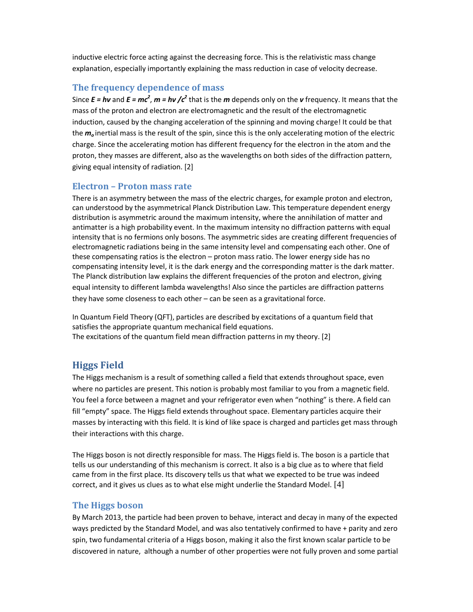inductive electric force acting against the decreasing force. This is the relativistic mass change explanation, especially importantly explaining the mass reduction in case of velocity decrease.

#### **The frequency dependence of mass**

Since  $E = h\nu$  and  $E = mc^2$ ,  $m = h\nu$  / $c^2$  that is the  $m$  depends only on the  $\nu$  frequency. It means that the mass of the proton and electron are electromagnetic and the result of the electromagnetic induction, caused by the changing acceleration of the spinning and moving charge! It could be that the *m<sup>o</sup>* inertial mass is the result of the spin, since this is the only accelerating motion of the electric charge. Since the accelerating motion has different frequency for the electron in the atom and the proton, they masses are different, also as the wavelengths on both sides of the diffraction pattern, giving equal intensity of radiation. [2]

#### **Electron – Proton mass rate**

There is an asymmetry between the mass of the electric charges, for example proton and electron, can understood by the asymmetrical Planck Distribution Law. This temperature dependent energy distribution is asymmetric around the maximum intensity, where the annihilation of matter and antimatter is a high probability event. In the maximum intensity no diffraction patterns with equal intensity that is no fermions only bosons. The asymmetric sides are creating different frequencies of electromagnetic radiations being in the same intensity level and compensating each other. One of these compensating ratios is the electron – proton mass ratio. The lower energy side has no compensating intensity level, it is the dark energy and the corresponding matter is the dark matter. The Planck distribution law explains the different frequencies of the proton and electron, giving equal intensity to different lambda wavelengths! Also since the particles are diffraction patterns they have some closeness to each other – can be seen as a gravitational force.

In Quantum Field Theory (QFT), particles are described by excitations of a quantum field that satisfies the appropriate quantum mechanical field equations. The excitations of the quantum field mean diffraction patterns in my theory. [2]

# **Higgs Field**

The Higgs mechanism is a result of something called a field that extends throughout space, even where no particles are present. This notion is probably most familiar to you from a magnetic field. You feel a force between a magnet and your refrigerator even when "nothing" is there. A field can fill "empty" space. The Higgs field extends throughout space. Elementary particles acquire their masses by interacting with this field. It is kind of like space is charged and particles get mass through their interactions with this charge.

The Higgs boson is not directly responsible for mass. The Higgs field is. The boson is a particle that tells us our understanding of this mechanism is correct. It also is a big clue as to where that field came from in the first place. Its discovery tells us that what we expected to be true was indeed correct, and it gives us clues as to what else might underlie the Standard Model. [4]

#### **The Higgs boson**

By March 2013, the particle had been proven to behave, interact and decay in many of the expected ways predicted by the Standard Model, and was also tentatively confirmed to have + parity and zero spin, two fundamental criteria of a Higgs boson, making it also the first known scalar particle to be discovered in nature, although a number of other properties were not fully proven and some partial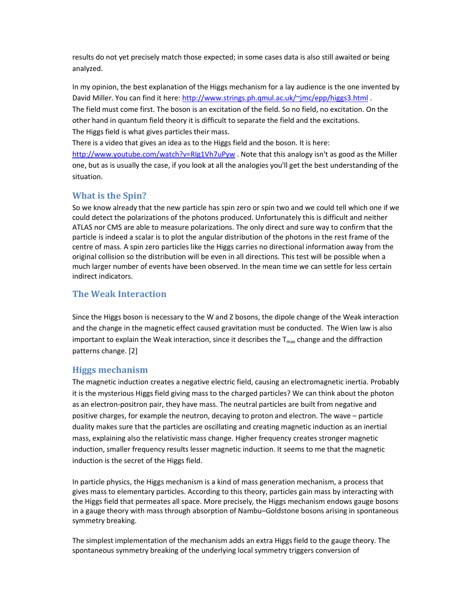results do not yet precisely match those expected; in some cases data is also still awaited or being analyzed.

In my opinion, the best explanation of the Higgs mechanism for a lay audience is the one invented by David Miller. You can find it here: http://www.strings.ph.qmul.ac.uk/~jmc/epp/higgs3.html. The field must come first. The boson is an excitation of the field. So no field, no excitation. On the other hand in quantum field theory it is difficult to separate the field and the excitations. The Higgs field is what gives particles their mass.

There is a video that gives an idea as to the Higgs field and the boson. It is here: http://www.youtube.com/watch?v=RIg1Vh7uPyw . Note that this analogy isn't as good as the Miller one, but as is usually the case, if you look at all the analogies you'll get the best understanding of the situation.

# **What is the Spin?**

So we know already that the new particle has spin zero or spin two and we could tell which one if we could detect the polarizations of the photons produced. Unfortunately this is difficult and neither ATLAS nor CMS are able to measure polarizations. The only direct and sure way to confirm that the particle is indeed a scalar is to plot the angular distribution of the photons in the rest frame of the centre of mass. A spin zero particles like the Higgs carries no directional information away from the original collision so the distribution will be even in all directions. This test will be possible when a much larger number of events have been observed. In the mean time we can settle for less certain indirect indicators.

## **The Weak Interaction**

Since the Higgs boson is necessary to the W and Z bosons, the dipole change of the Weak interaction and the change in the magnetic effect caused gravitation must be conducted. The Wien law is also important to explain the Weak interaction, since it describes the  $T_{\text{max}}$  change and the diffraction patterns change. [2]

## **Higgs mechanism**

The magnetic induction creates a negative electric field, causing an electromagnetic inertia. Probably it is the mysterious Higgs field giving mass to the charged particles? We can think about the photon as an electron-positron pair, they have mass. The neutral particles are built from negative and positive charges, for example the neutron, decaying to proton and electron. The wave – particle duality makes sure that the particles are oscillating and creating magnetic induction as an inertial mass, explaining also the relativistic mass change. Higher frequency creates stronger magnetic induction, smaller frequency results lesser magnetic induction. It seems to me that the magnetic induction is the secret of the Higgs field.

In particle physics, the Higgs mechanism is a kind of mass generation mechanism, a process that gives mass to elementary particles. According to this theory, particles gain mass by interacting with the Higgs field that permeates all space. More precisely, the Higgs mechanism endows gauge bosons in a gauge theory with mass through absorption of Nambu–Goldstone bosons arising in spontaneous symmetry breaking.

The simplest implementation of the mechanism adds an extra Higgs field to the gauge theory. The spontaneous symmetry breaking of the underlying local symmetry triggers conversion of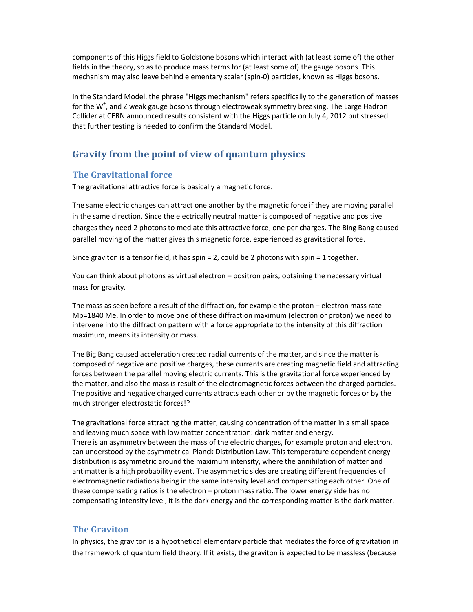components of this Higgs field to Goldstone bosons which interact with (at least some of) the other fields in the theory, so as to produce mass terms for (at least some of) the gauge bosons. This mechanism may also leave behind elementary scalar (spin-0) particles, known as Higgs bosons.

In the Standard Model, the phrase "Higgs mechanism" refers specifically to the generation of masses for the W<sup>+</sup>, and Z weak gauge bosons through electroweak symmetry breaking. The Large Hadron Collider at CERN announced results consistent with the Higgs particle on July 4, 2012 but stressed that further testing is needed to confirm the Standard Model.

# **Gravity from the point of view of quantum physics**

## **The Gravitational force**

The gravitational attractive force is basically a magnetic force.

The same electric charges can attract one another by the magnetic force if they are moving parallel in the same direction. Since the electrically neutral matter is composed of negative and positive charges they need 2 photons to mediate this attractive force, one per charges. The Bing Bang caused parallel moving of the matter gives this magnetic force, experienced as gravitational force.

Since graviton is a tensor field, it has spin = 2, could be 2 photons with spin = 1 together.

You can think about photons as virtual electron – positron pairs, obtaining the necessary virtual mass for gravity.

The mass as seen before a result of the diffraction, for example the proton – electron mass rate Mp=1840 Me. In order to move one of these diffraction maximum (electron or proton) we need to intervene into the diffraction pattern with a force appropriate to the intensity of this diffraction maximum, means its intensity or mass.

The Big Bang caused acceleration created radial currents of the matter, and since the matter is composed of negative and positive charges, these currents are creating magnetic field and attracting forces between the parallel moving electric currents. This is the gravitational force experienced by the matter, and also the mass is result of the electromagnetic forces between the charged particles. The positive and negative charged currents attracts each other or by the magnetic forces or by the much stronger electrostatic forces!?

The gravitational force attracting the matter, causing concentration of the matter in a small space and leaving much space with low matter concentration: dark matter and energy. There is an asymmetry between the mass of the electric charges, for example proton and electron, can understood by the asymmetrical Planck Distribution Law. This temperature dependent energy distribution is asymmetric around the maximum intensity, where the annihilation of matter and antimatter is a high probability event. The asymmetric sides are creating different frequencies of electromagnetic radiations being in the same intensity level and compensating each other. One of these compensating ratios is the electron – proton mass ratio. The lower energy side has no compensating intensity level, it is the dark energy and the corresponding matter is the dark matter.

#### **The Graviton**

In physics, the graviton is a hypothetical elementary particle that mediates the force of gravitation in the framework of quantum field theory. If it exists, the graviton is expected to be massless (because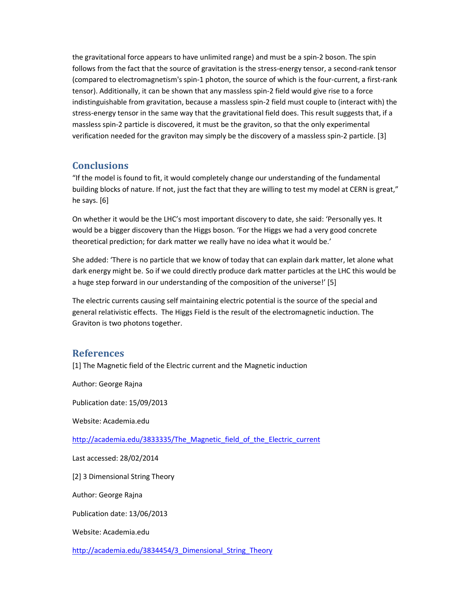the gravitational force appears to have unlimited range) and must be a spin-2 boson. The spin follows from the fact that the source of gravitation is the stress-energy tensor, a second-rank tensor (compared to electromagnetism's spin-1 photon, the source of which is the four-current, a first-rank tensor). Additionally, it can be shown that any massless spin-2 field would give rise to a force indistinguishable from gravitation, because a massless spin-2 field must couple to (interact with) the stress-energy tensor in the same way that the gravitational field does. This result suggests that, if a massless spin-2 particle is discovered, it must be the graviton, so that the only experimental verification needed for the graviton may simply be the discovery of a massless spin-2 particle. [3]

# **Conclusions**

"If the model is found to fit, it would completely change our understanding of the fundamental building blocks of nature. If not, just the fact that they are willing to test my model at CERN is great," he says. [6]

On whether it would be the LHC's most important discovery to date, she said: 'Personally yes. It would be a bigger discovery than the Higgs boson. 'For the Higgs we had a very good concrete theoretical prediction; for dark matter we really have no idea what it would be.'

She added: 'There is no particle that we know of today that can explain dark matter, let alone what dark energy might be. So if we could directly produce dark matter particles at the LHC this would be a huge step forward in our understanding of the composition of the universe!' [5]

The electric currents causing self maintaining electric potential is the source of the special and general relativistic effects. The Higgs Field is the result of the electromagnetic induction. The Graviton is two photons together.

## **References**

[1] The Magnetic field of the Electric current and the Magnetic induction

Author: George Rajna

Publication date: 15/09/2013

Website: Academia.edu

http://academia.edu/3833335/The\_Magnetic\_field\_of\_the\_Electric\_current

Last accessed: 28/02/2014

[2] 3 Dimensional String Theory

Author: George Rajna

Publication date: 13/06/2013

Website: Academia.edu

http://academia.edu/3834454/3\_Dimensional\_String\_Theory